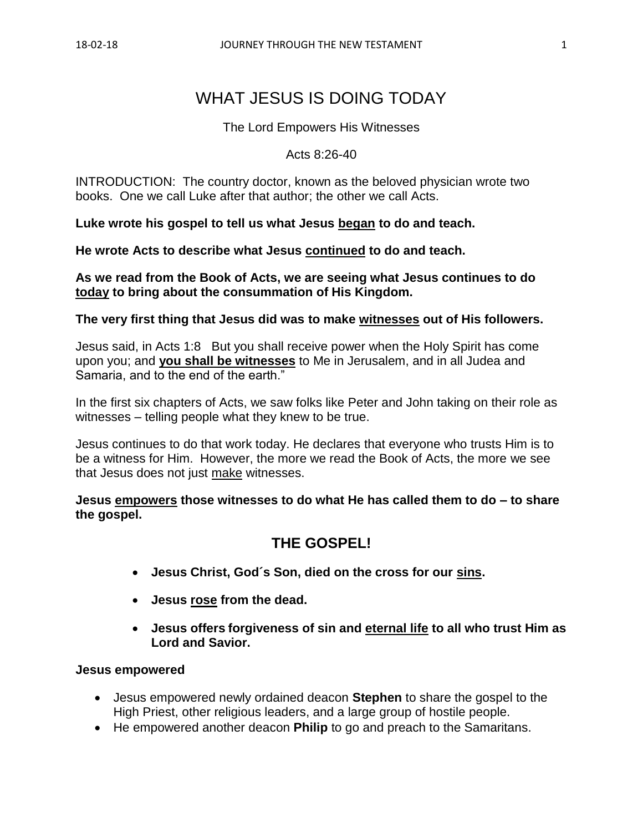# WHAT JESUS IS DOING TODAY

#### The Lord Empowers His Witnesses

#### Acts 8:26-40

INTRODUCTION: The country doctor, known as the beloved physician wrote two books. One we call Luke after that author; the other we call Acts.

**Luke wrote his gospel to tell us what Jesus began to do and teach.** 

**He wrote Acts to describe what Jesus continued to do and teach.**

**As we read from the Book of Acts, we are seeing what Jesus continues to do today to bring about the consummation of His Kingdom.**

#### **The very first thing that Jesus did was to make witnesses out of His followers.**

Jesus said, in Acts 1:8 But you shall receive power when the Holy Spirit has come upon you; and **you shall be witnesses** to Me in Jerusalem, and in all Judea and Samaria, and to the end of the earth."

In the first six chapters of Acts, we saw folks like Peter and John taking on their role as witnesses – telling people what they knew to be true.

Jesus continues to do that work today. He declares that everyone who trusts Him is to be a witness for Him. However, the more we read the Book of Acts, the more we see that Jesus does not just make witnesses.

**Jesus empowers those witnesses to do what He has called them to do – to share the gospel.**

# **THE GOSPEL!**

- **Jesus Christ, God´s Son, died on the cross for our sins.**
- **Jesus rose from the dead.**
- **Jesus offers forgiveness of sin and eternal life to all who trust Him as Lord and Savior.**

#### **Jesus empowered**

- Jesus empowered newly ordained deacon **Stephen** to share the gospel to the High Priest, other religious leaders, and a large group of hostile people.
- He empowered another deacon **Philip** to go and preach to the Samaritans.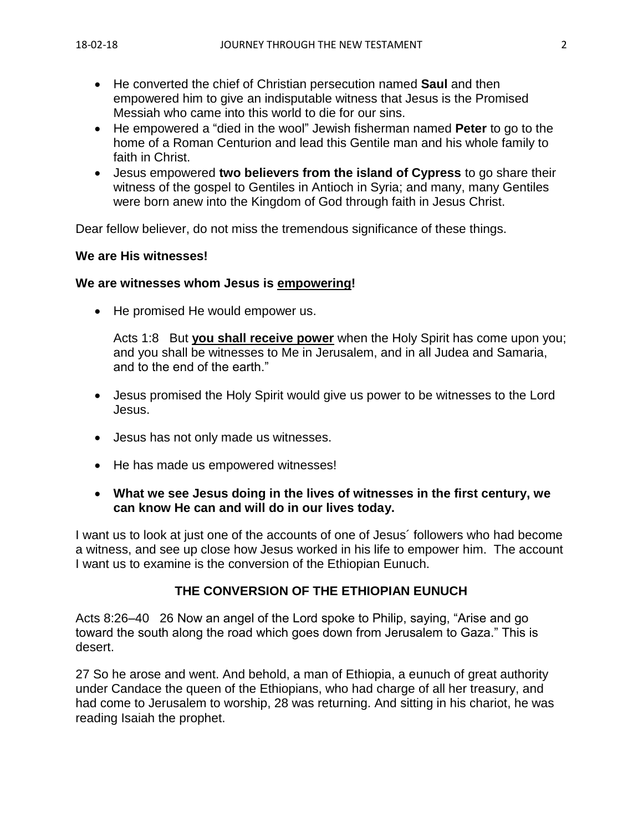- He converted the chief of Christian persecution named **Saul** and then empowered him to give an indisputable witness that Jesus is the Promised Messiah who came into this world to die for our sins.
- He empowered a "died in the wool" Jewish fisherman named **Peter** to go to the home of a Roman Centurion and lead this Gentile man and his whole family to faith in Christ.
- Jesus empowered **two believers from the island of Cypress** to go share their witness of the gospel to Gentiles in Antioch in Syria; and many, many Gentiles were born anew into the Kingdom of God through faith in Jesus Christ.

Dear fellow believer, do not miss the tremendous significance of these things.

### **We are His witnesses!**

#### **We are witnesses whom Jesus is empowering!**

• He promised He would empower us.

Acts 1:8 But **you shall receive power** when the Holy Spirit has come upon you; and you shall be witnesses to Me in Jerusalem, and in all Judea and Samaria, and to the end of the earth."

- Jesus promised the Holy Spirit would give us power to be witnesses to the Lord Jesus.
- Jesus has not only made us witnesses.
- He has made us empowered witnesses!
- **What we see Jesus doing in the lives of witnesses in the first century, we can know He can and will do in our lives today.**

I want us to look at just one of the accounts of one of Jesus´ followers who had become a witness, and see up close how Jesus worked in his life to empower him. The account I want us to examine is the conversion of the Ethiopian Eunuch.

### **THE CONVERSION OF THE ETHIOPIAN EUNUCH**

Acts 8:26–40 26 Now an angel of the Lord spoke to Philip, saying, "Arise and go toward the south along the road which goes down from Jerusalem to Gaza." This is desert.

27 So he arose and went. And behold, a man of Ethiopia, a eunuch of great authority under Candace the queen of the Ethiopians, who had charge of all her treasury, and had come to Jerusalem to worship, 28 was returning. And sitting in his chariot, he was reading Isaiah the prophet.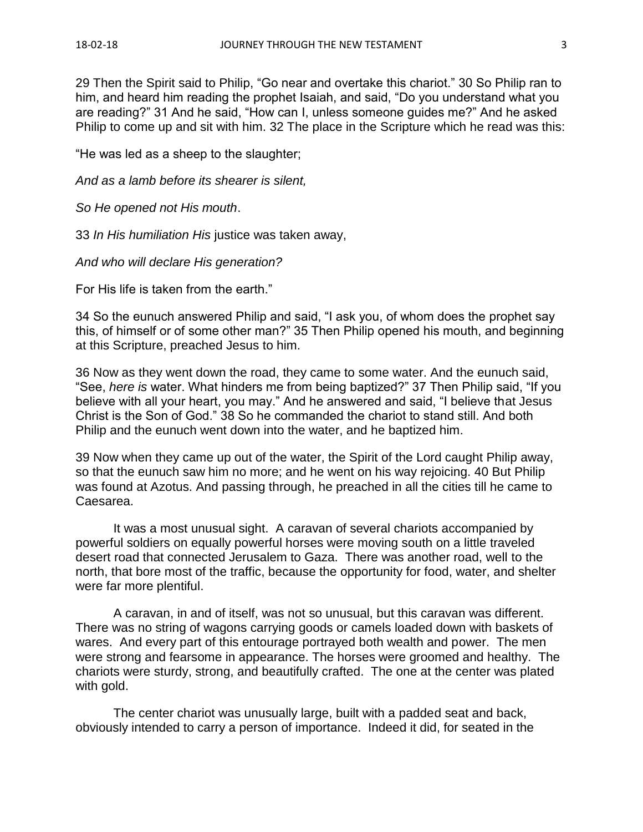29 Then the Spirit said to Philip, "Go near and overtake this chariot." 30 So Philip ran to him, and heard him reading the prophet Isaiah, and said, "Do you understand what you are reading?" 31 And he said, "How can I, unless someone guides me?" And he asked Philip to come up and sit with him. 32 The place in the Scripture which he read was this:

"He was led as a sheep to the slaughter;

*And as a lamb before its shearer is silent,*

*So He opened not His mouth*.

33 *In His humiliation His* justice was taken away,

*And who will declare His generation?*

For His life is taken from the earth."

34 So the eunuch answered Philip and said, "I ask you, of whom does the prophet say this, of himself or of some other man?" 35 Then Philip opened his mouth, and beginning at this Scripture, preached Jesus to him.

36 Now as they went down the road, they came to some water. And the eunuch said, "See, *here is* water. What hinders me from being baptized?" 37 Then Philip said, "If you believe with all your heart, you may." And he answered and said, "I believe that Jesus Christ is the Son of God." 38 So he commanded the chariot to stand still. And both Philip and the eunuch went down into the water, and he baptized him.

39 Now when they came up out of the water, the Spirit of the Lord caught Philip away, so that the eunuch saw him no more; and he went on his way rejoicing. 40 But Philip was found at Azotus. And passing through, he preached in all the cities till he came to Caesarea.

It was a most unusual sight. A caravan of several chariots accompanied by powerful soldiers on equally powerful horses were moving south on a little traveled desert road that connected Jerusalem to Gaza. There was another road, well to the north, that bore most of the traffic, because the opportunity for food, water, and shelter were far more plentiful.

A caravan, in and of itself, was not so unusual, but this caravan was different. There was no string of wagons carrying goods or camels loaded down with baskets of wares. And every part of this entourage portrayed both wealth and power. The men were strong and fearsome in appearance. The horses were groomed and healthy. The chariots were sturdy, strong, and beautifully crafted. The one at the center was plated with gold.

The center chariot was unusually large, built with a padded seat and back, obviously intended to carry a person of importance. Indeed it did, for seated in the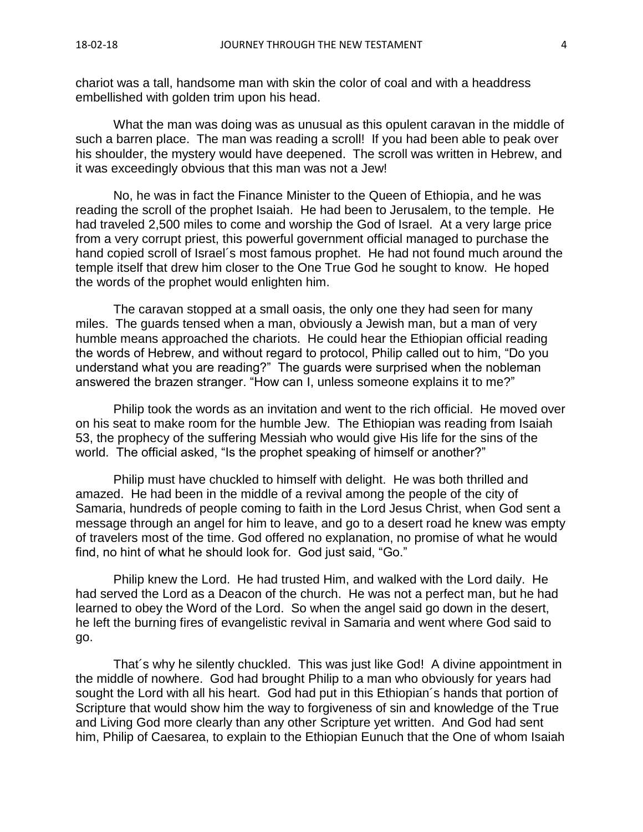chariot was a tall, handsome man with skin the color of coal and with a headdress embellished with golden trim upon his head.

What the man was doing was as unusual as this opulent caravan in the middle of such a barren place. The man was reading a scroll! If you had been able to peak over his shoulder, the mystery would have deepened. The scroll was written in Hebrew, and it was exceedingly obvious that this man was not a Jew!

No, he was in fact the Finance Minister to the Queen of Ethiopia, and he was reading the scroll of the prophet Isaiah. He had been to Jerusalem, to the temple. He had traveled 2,500 miles to come and worship the God of Israel. At a very large price from a very corrupt priest, this powerful government official managed to purchase the hand copied scroll of Israel´s most famous prophet. He had not found much around the temple itself that drew him closer to the One True God he sought to know. He hoped the words of the prophet would enlighten him.

The caravan stopped at a small oasis, the only one they had seen for many miles. The guards tensed when a man, obviously a Jewish man, but a man of very humble means approached the chariots. He could hear the Ethiopian official reading the words of Hebrew, and without regard to protocol, Philip called out to him, "Do you understand what you are reading?" The guards were surprised when the nobleman answered the brazen stranger. "How can I, unless someone explains it to me?"

Philip took the words as an invitation and went to the rich official. He moved over on his seat to make room for the humble Jew. The Ethiopian was reading from Isaiah 53, the prophecy of the suffering Messiah who would give His life for the sins of the world. The official asked, "Is the prophet speaking of himself or another?"

Philip must have chuckled to himself with delight. He was both thrilled and amazed. He had been in the middle of a revival among the people of the city of Samaria, hundreds of people coming to faith in the Lord Jesus Christ, when God sent a message through an angel for him to leave, and go to a desert road he knew was empty of travelers most of the time. God offered no explanation, no promise of what he would find, no hint of what he should look for. God just said, "Go."

Philip knew the Lord. He had trusted Him, and walked with the Lord daily. He had served the Lord as a Deacon of the church. He was not a perfect man, but he had learned to obey the Word of the Lord. So when the angel said go down in the desert, he left the burning fires of evangelistic revival in Samaria and went where God said to go.

That´s why he silently chuckled. This was just like God! A divine appointment in the middle of nowhere. God had brought Philip to a man who obviously for years had sought the Lord with all his heart. God had put in this Ethiopian´s hands that portion of Scripture that would show him the way to forgiveness of sin and knowledge of the True and Living God more clearly than any other Scripture yet written. And God had sent him, Philip of Caesarea, to explain to the Ethiopian Eunuch that the One of whom Isaiah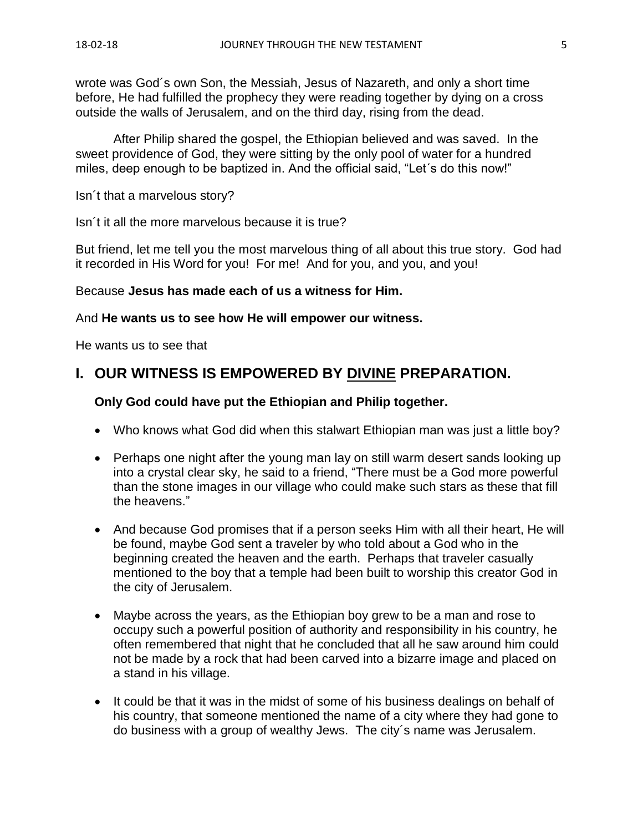wrote was God´s own Son, the Messiah, Jesus of Nazareth, and only a short time before, He had fulfilled the prophecy they were reading together by dying on a cross outside the walls of Jerusalem, and on the third day, rising from the dead.

After Philip shared the gospel, the Ethiopian believed and was saved. In the sweet providence of God, they were sitting by the only pool of water for a hundred miles, deep enough to be baptized in. And the official said, "Let´s do this now!"

Isn´t that a marvelous story?

Isn´t it all the more marvelous because it is true?

But friend, let me tell you the most marvelous thing of all about this true story. God had it recorded in His Word for you! For me! And for you, and you, and you!

#### Because **Jesus has made each of us a witness for Him.**

#### And **He wants us to see how He will empower our witness.**

He wants us to see that

# **I. OUR WITNESS IS EMPOWERED BY DIVINE PREPARATION.**

#### **Only God could have put the Ethiopian and Philip together.**

- Who knows what God did when this stalwart Ethiopian man was just a little boy?
- Perhaps one night after the young man lay on still warm desert sands looking up into a crystal clear sky, he said to a friend, "There must be a God more powerful than the stone images in our village who could make such stars as these that fill the heavens."
- And because God promises that if a person seeks Him with all their heart, He will be found, maybe God sent a traveler by who told about a God who in the beginning created the heaven and the earth. Perhaps that traveler casually mentioned to the boy that a temple had been built to worship this creator God in the city of Jerusalem.
- Maybe across the years, as the Ethiopian boy grew to be a man and rose to occupy such a powerful position of authority and responsibility in his country, he often remembered that night that he concluded that all he saw around him could not be made by a rock that had been carved into a bizarre image and placed on a stand in his village.
- It could be that it was in the midst of some of his business dealings on behalf of his country, that someone mentioned the name of a city where they had gone to do business with a group of wealthy Jews. The city´s name was Jerusalem.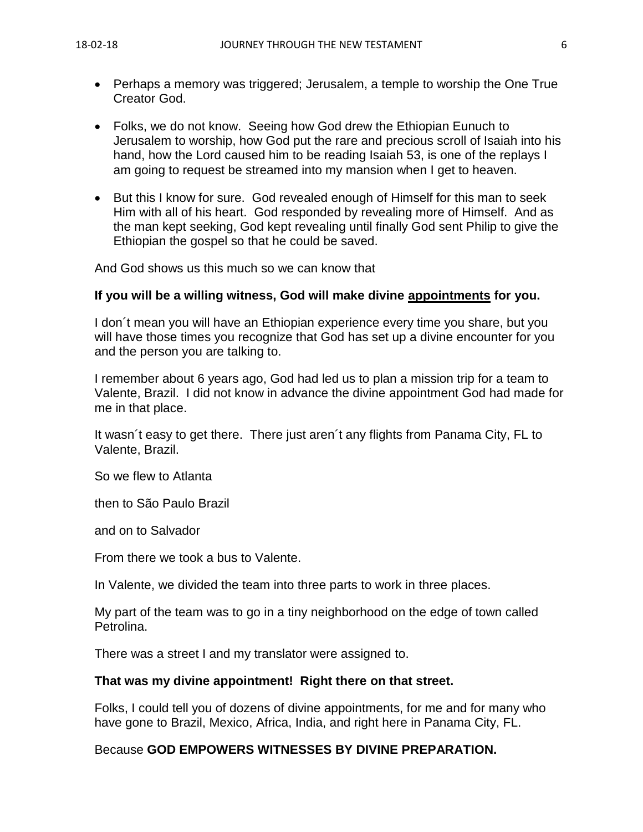- Perhaps a memory was triggered; Jerusalem, a temple to worship the One True Creator God.
- Folks, we do not know. Seeing how God drew the Ethiopian Eunuch to Jerusalem to worship, how God put the rare and precious scroll of Isaiah into his hand, how the Lord caused him to be reading Isaiah 53, is one of the replays I am going to request be streamed into my mansion when I get to heaven.
- But this I know for sure. God revealed enough of Himself for this man to seek Him with all of his heart. God responded by revealing more of Himself. And as the man kept seeking, God kept revealing until finally God sent Philip to give the Ethiopian the gospel so that he could be saved.

And God shows us this much so we can know that

#### **If you will be a willing witness, God will make divine appointments for you.**

I don´t mean you will have an Ethiopian experience every time you share, but you will have those times you recognize that God has set up a divine encounter for you and the person you are talking to.

I remember about 6 years ago, God had led us to plan a mission trip for a team to Valente, Brazil. I did not know in advance the divine appointment God had made for me in that place.

It wasn´t easy to get there. There just aren´t any flights from Panama City, FL to Valente, Brazil.

So we flew to Atlanta

then to São Paulo Brazil

and on to Salvador

From there we took a bus to Valente.

In Valente, we divided the team into three parts to work in three places.

My part of the team was to go in a tiny neighborhood on the edge of town called Petrolina.

There was a street I and my translator were assigned to.

#### **That was my divine appointment! Right there on that street.**

Folks, I could tell you of dozens of divine appointments, for me and for many who have gone to Brazil, Mexico, Africa, India, and right here in Panama City, FL.

### Because **GOD EMPOWERS WITNESSES BY DIVINE PREPARATION.**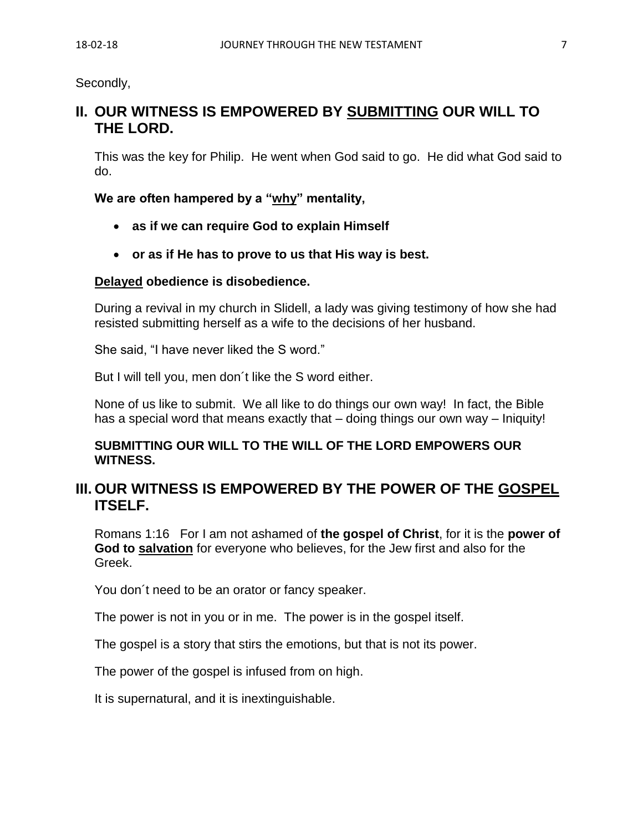Secondly,

# **II. OUR WITNESS IS EMPOWERED BY SUBMITTING OUR WILL TO THE LORD.**

This was the key for Philip. He went when God said to go. He did what God said to do.

### **We are often hampered by a "why" mentality,**

- **as if we can require God to explain Himself**
- **or as if He has to prove to us that His way is best.**

#### **Delayed obedience is disobedience.**

During a revival in my church in Slidell, a lady was giving testimony of how she had resisted submitting herself as a wife to the decisions of her husband.

She said, "I have never liked the S word."

But I will tell you, men don´t like the S word either.

None of us like to submit. We all like to do things our own way! In fact, the Bible has a special word that means exactly that – doing things our own way – Iniquity!

### **SUBMITTING OUR WILL TO THE WILL OF THE LORD EMPOWERS OUR WITNESS.**

# **III. OUR WITNESS IS EMPOWERED BY THE POWER OF THE GOSPEL ITSELF.**

Romans 1:16 For I am not ashamed of **the gospel of Christ**, for it is the **power of God to salvation** for everyone who believes, for the Jew first and also for the Greek.

You don´t need to be an orator or fancy speaker.

The power is not in you or in me. The power is in the gospel itself.

The gospel is a story that stirs the emotions, but that is not its power.

The power of the gospel is infused from on high.

It is supernatural, and it is inextinguishable.